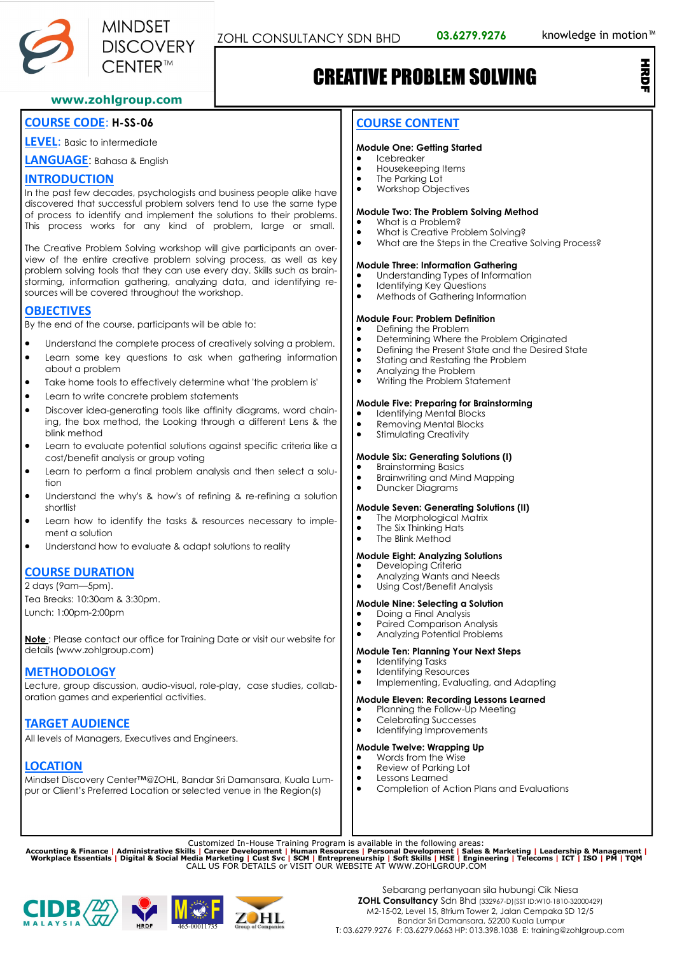

# CREATIVE PROBLEM SOLVING

**www.zohlgroup.com**

### **COURSE CODE**: **H-SS-06**

**LEVEL**: Basic to intermediate

**LANGUAGE**: Bahasa & English

#### **INTRODUCTION**

In the past few decades, psychologists and business people alike have discovered that successful problem solvers tend to use the same type of process to identify and implement the solutions to their problems. This process works for any kind of problem, large or small.

The Creative Problem Solving workshop will give participants an overview of the entire creative problem solving process, as well as key problem solving tools that they can use every day. Skills such as brainstorming, information gathering, analyzing data, and identifying resources will be covered throughout the workshop.

## **OBJECTIVES**

By the end of the course, participants will be able to:

- Understand the complete process of creatively solving a problem.
- Learn some key questions to ask when gathering information about a problem
- Take home tools to effectively determine what 'the problem is'
- Learn to write concrete problem statements
- Discover idea-generating tools like affinity diagrams, word chaining, the box method, the Looking through a different Lens & the blink method
- Learn to evaluate potential solutions against specific criteria like a cost/benefit analysis or group voting
- Learn to perform a final problem analysis and then select a solution
- Understand the why's & how's of refining & re-refining a solution shortlist
- Learn how to identify the tasks & resources necessary to implement a solution
- Understand how to evaluate & adapt solutions to reality

## **COURSE DURATION**

2 days (9am—5pm). Tea Breaks: 10:30am & 3:30pm. Lunch: 1:00pm-2:00pm

**Note** : Please contact our office for Training Date or visit our website for details (www.zohlgroup.com)

## **METHODOLOGY**

Lecture, group discussion, audio-visual, role-play, case studies, collaboration games and experiential activities.

## **TARGET AUDIENCE**

All levels of Managers, Executives and Engineers.

## **LOCATION**

Mindset Discovery Center™@ZOHL, Bandar Sri Damansara, Kuala Lumpur or Client's Preferred Location or selected venue in the Region(s)

## **COURSE CONTENT**

#### **Module One: Getting Started**

- Icebreaker
- Housekeeping Items
- The Parking Lot<br>• Workshop Obje • Workshop Objectives

#### **Module Two: The Problem Solving Method**

- What is a Problem?
- What is Creative Problem Solving?
- What are the Steps in the Creative Solving Process?

#### **Module Three: Information Gathering**

- Understanding Types of Information<br>• Identifying Key Questions
- Identifying Key Questions
- Methods of Gathering Information

#### **Module Four: Problem Definition**

- Defining the Problem<br>• Determining Where the
- Determining Where the Problem Originated
- Defining the Present State and the Desired State
- Stating and Restating the Problem
- Analyzing the Problem<br>• Writing the Problem Sto
- Writing the Problem Statement

#### **Module Five: Preparing for Brainstorming**

- Identifying Mental Blocks
- Removing Mental Blocks
- Stimulating Creativity

#### **Module Six: Generating Solutions (I)**

- Brainstorming Basics<br>• Brainwriting and Min
- Brainwriting and Mind Mapping
- Duncker Diagrams

#### **Module Seven: Generating Solutions (II)**

- The Morphological Matrix<br>• The Six Thinking Hats
- The Six Thinking Hats
- The Blink Method

#### **Module Eight: Analyzing Solutions**

- Developing Criteria
- Analyzing Wants and Needs<br>• Ilsing Cost/Benefit Analysis • Using Cost/Benefit Analysis

## **Module Nine: Selecting a Solution**

- Doing a Final Analysis<br>• Paired Comparison A
- Paired Comparison Analysis
- Analyzing Potential Problems

#### **Module Ten: Planning Your Next Steps**

- Identifying Tasks
- Identifying Resources
- Implementing, Evaluating, and Adapting

#### **Module Eleven: Recording Lessons Learned**

- Planning the Follow-Up Meeting<br>• Celebrating Successes
- Celebrating Successes
- Identifying Improvements

#### **Module Twelve: Wrapping Up**

- Words from the Wise
- Review of Parking Lot
- Lessons Learned
- Completion of Action Plans and Evaluations

Customized In-House Training Program is available in the following areas:<br>Accounting & Finance | Administrative Skills | Career Development | Human Resources | Personal Development | Sales & Marketing | Leadership & Manage





HR<sub>D</sub>